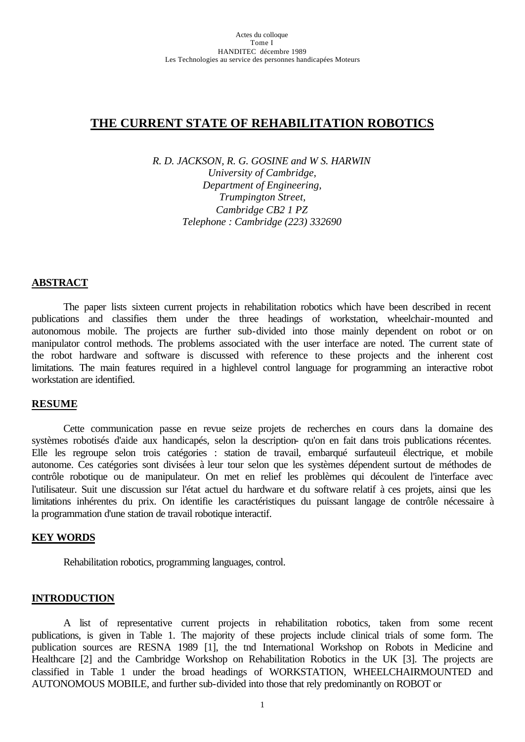# **THE CURRENT STATE OF REHABILITATION ROBOTICS**

*R. D. JACKSON, R. G. GOSINE and W S. HARWIN University of Cambridge, Department of Engineering, Trumpington Street, Cambridge CB2 1 PZ Telephone : Cambridge (223) 332690*

### **ABSTRACT**

The paper lists sixteen current projects in rehabilitation robotics which have been described in recent publications and classifies them under the three headings of workstation, wheelchair-mounted and autonomous mobile. The projects are further sub-divided into those mainly dependent on robot or on manipulator control methods. The problems associated with the user interface are noted. The current state of the robot hardware and software is discussed with reference to these projects and the inherent cost limitations. The main features required in a highlevel control language for programming an interactive robot workstation are identified.

#### **RESUME**

Cette communication passe en revue seize projets de recherches en cours dans la domaine des systèmes robotisés d'aide aux handicapés, selon la description- qu'on en fait dans trois publications récentes. Elle les regroupe selon trois catégories : station de travail, embarqué surfauteuil électrique, et mobile autonome. Ces catégories sont divisées à leur tour selon que les systèmes dépendent surtout de méthodes de contrôle robotique ou de manipulateur. On met en relief les problèmes qui découlent de l'interface avec l'utilisateur. Suit une discussion sur l'état actuel du hardware et du software relatif à ces projets, ainsi que les limitations inhérentes du prix. On identifie les caractéristiques du puissant langage de contrôle nécessaire à la programmation d'une station de travail robotique interactif.

#### **KEY WORDS**

Rehabilitation robotics, programming languages, control.

#### **INTRODUCTION**

A list of representative current projects in rehabilitation robotics, taken from some recent publications, is given in Table 1. The majority of these projects include clinical trials of some form. The publication sources are RESNA 1989 [1], the tnd International Workshop on Robots in Medicine and Healthcare [2] and the Cambridge Workshop on Rehabilitation Robotics in the UK [3]. The projects are classified in Table 1 under the broad headings of WORKSTATION, WHEELCHAIRMOUNTED and AUTONOMOUS MOBILE, and further sub-divided into those that rely predominantly on ROBOT or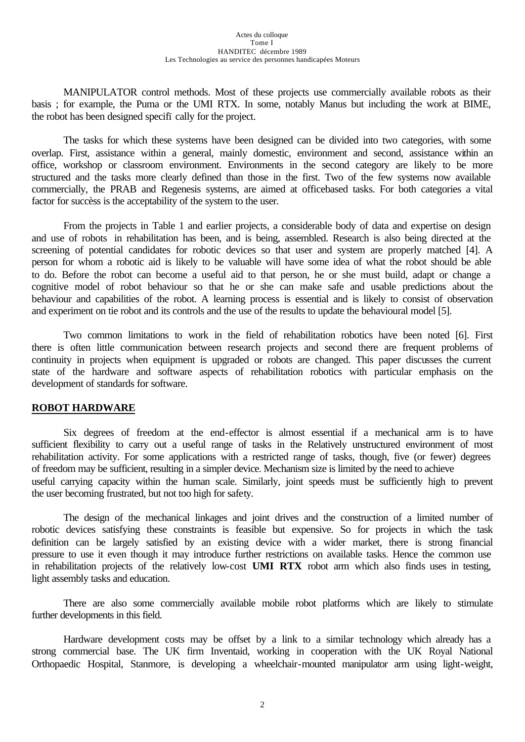MANIPULATOR control methods. Most of these projects use commercially available robots as their basis ; for example, the Puma or the UMI RTX. In some, notably Manus but including the work at BIME, the robot has been designed specifïcally for the project.

The tasks for which these systems have been designed can be divided into two categories, with some overlap. First, assistance within a general, mainly domestic, environment and second, assistance within an office, workshop or classroom environment. Environments in the second category are likely to be more structured and the tasks more clearly defined than those in the first. Two of the few systems now available commercially, the PRAB and Regenesis systems, are aimed at officebased tasks. For both categories a vital factor for succèss is the acceptability of the system to the user.

From the projects in Table 1 and earlier projects, a considerable body of data and expertise on design and use of robots in rehabilitation has been, and is being, assembled. Research is also being directed at the screening of potential candidates for robotic devices so that user and system are properly matched [4]. A person for whom a robotic aid is likely to be valuable will have some idea of what the robot should be able to do. Before the robot can become a useful aid to that person, he or she must build, adapt or change a cognitive model of robot behaviour so that he or she can make safe and usable predictions about the behaviour and capabilities of the robot. A learning process is essential and is likely to consist of observation and experiment on tie robot and its controls and the use of the results to update the behavioural model [5].

Two common limitations to work in the field of rehabilitation robotics have been noted [6]. First there is often little communication between research projects and second there are frequent problems of continuity in projects when equipment is upgraded or robots are changed. This paper discusses the current state of the hardware and software aspects of rehabilitation robotics with particular emphasis on the development of standards for software.

## **ROBOT HARDWARE**

Six degrees of freedom at the end-effector is almost essential if a mechanical arm is to have sufficient flexibility to carry out a useful range of tasks in the Relatively unstructured environment of most rehabilitation activity. For some applications with a restricted range of tasks, though, five (or fewer) degrees of freedom may be sufficient, resulting in a simpler device. Mechanism size is limited by the need to achieve useful carrying capacity within the human scale. Similarly, joint speeds must be sufficiently high to prevent the user becoming frustrated, but not too high for safety.

The design of the mechanical linkages and joint drives and the construction of a limited number of robotic devices satisfying these constraints is feasible but expensive. So for projects in which the task definition can be largely satisfied by an existing device with a wider market, there is strong financial pressure to use it even though it may introduce further restrictions on available tasks. Hence the common use in rehabilitation projects of the relatively low-cost **UMI RTX** robot arm which also finds uses in testing, light assembly tasks and education.

There are also some commercially available mobile robot platforms which are likely to stimulate further developments in this field.

Hardware development costs may be offset by a link to a similar technology which already has a strong commercial base. The UK firm Inventaid, working in cooperation with the UK Royal National Orthopaedic Hospital, Stanmore, is developing a wheelchair-mounted manipulator arm using light-weight,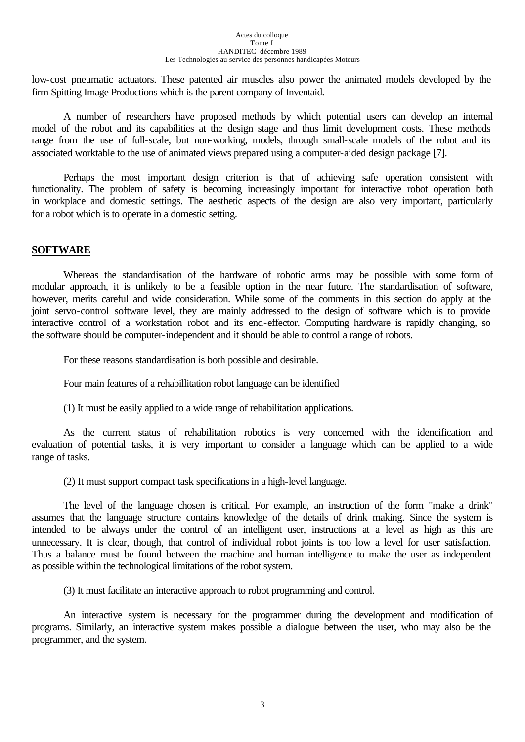#### Actes du colloque Tome I HANDITEC décembre 1989 Les Technologies au service des personnes handicapées Moteurs

low-cost pneumatic actuators. These patented air muscles also power the animated models developed by the firm Spitting Image Productions which is the parent company of Inventaid.

A number of researchers have proposed methods by which potential users can develop an internal model of the robot and its capabilities at the design stage and thus limit development costs. These methods range from the use of full-scale, but non-working, models, through small-scale models of the robot and its associated worktable to the use of animated views prepared using a computer-aided design package [7].

Perhaps the most important design criterion is that of achieving safe operation consistent with functionality. The problem of safety is becoming increasingly important for interactive robot operation both in workplace and domestic settings. The aesthetic aspects of the design are also very important, particularly for a robot which is to operate in a domestic setting.

## **SOFTWARE**

Whereas the standardisation of the hardware of robotic arms may be possible with some form of modular approach, it is unlikely to be a feasible option in the near future. The standardisation of software, however, merits careful and wide consideration. While some of the comments in this section do apply at the joint servo-control software level, they are mainly addressed to the design of software which is to provide interactive control of a workstation robot and its end-effector. Computing hardware is rapidly changing, so the software should be computer-independent and it should be able to control a range of robots.

For these reasons standardisation is both possible and desirable.

Four main features of a rehabillitation robot language can be identified

(1) It must be easily applied to a wide range of rehabilitation applications.

As the current status of rehabilitation robotics is very concerned with the idencification and evaluation of potential tasks, it is very important to consider a language which can be applied to a wide range of tasks.

(2) It must support compact task specifications in a high-level language.

The level of the language chosen is critical. For example, an instruction of the form "make a drink" assumes that the language structure contains knowledge of the details of drink making. Since the system is intended to be always under the control of an intelligent user, instructions at a level as high as this are unnecessary. It is clear, though, that control of individual robot joints is too low a level for user satisfaction. Thus a balance must be found between the machine and human intelligence to make the user as independent as possible within the technological limitations of the robot system.

(3) It must facilitate an interactive approach to robot programming and control.

An interactive system is necessary for the programmer during the development and modification of programs. Similarly, an interactive system makes possible a dialogue between the user, who may also be the programmer, and the system.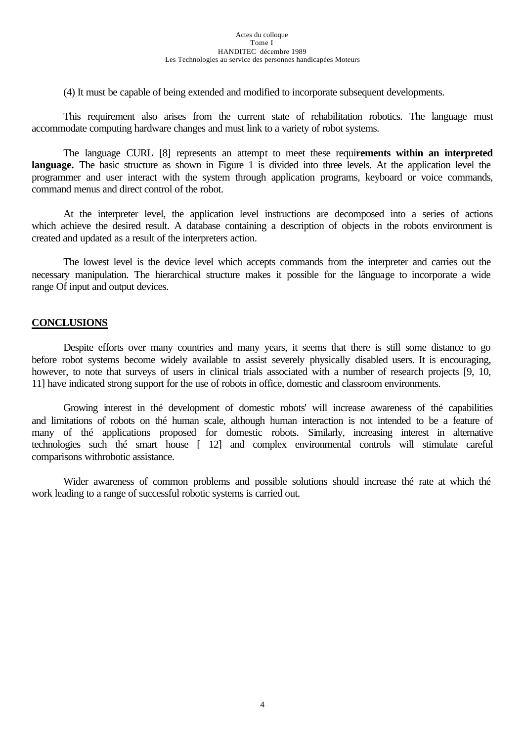(4) It must be capable of being extended and modified to incorporate subsequent developments.

This requirement also arises from the current state of rehabilitation robotics. The language must accommodate computing hardware changes and must link to a variety of robot systems.

The language CURL [8] represents an attempt to meet these requi**rements within an interpreted** language. The basic structure as shown in Figure 1 is divided into three levels. At the application level the programmer and user interact with the system through application programs, keyboard or voice commands, command menus and direct control of the robot.

At the interpreter level, the application level instructions are decomposed into a series of actions which achieve the desired result. A database containing a description of objects in the robots environment is created and updated as a result of the interpreters action.

The lowest level is the device level which accepts commands from the interpreter and carries out the necessary manipulation. The hierarchical structure makes it possible for the lânguage to incorporate a wide range Of input and output devices.

## **CONCLUSIONS**

Despite efforts over many countries and many years, it seems that there is still some distance to go before robot systems become widely available to assist severely physically disabled users. It is encouraging, however, to note that surveys of users in clinical trials associated with a number of research projects [9, 10, 11] have indicated strong support for the use of robots in office, domestic and classroom environments.

Growing interest in thé development of domestic robots' will increase awareness of thé capabilities and limitations of robots on thé human scale, although human interaction is not intended to be a feature of many of thé applications proposed for domestic robots. Similarly, increasing interest in alternative technologies such thé smart house [ 12] and complex environmental controls will stimulate careful comparisons withrobotic assistance.

Wider awareness of common problems and possible solutions should increase thé rate at which thé work leading to a range of successful robotic systems is carried out.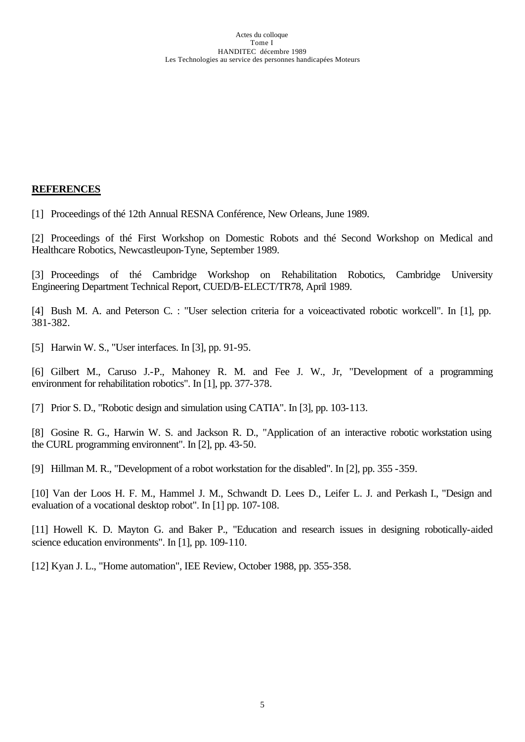## **REFERENCES**

[1] Proceedings of thé 12th Annual RESNA Conférence, New Orleans, June 1989.

[2] Proceedings of thé First Workshop on Domestic Robots and thé Second Workshop on Medical and Healthcare Robotics, Newcastleupon-Tyne, September 1989.

[3] Proceedings of thé Cambridge Workshop on Rehabilitation Robotics, Cambridge University Engineering Department Technical Report, CUED/B-ELECT/TR78, April 1989.

[4] Bush M. A. and Peterson C. : "User selection criteria for a voiceactivated robotic workcell". In [1], pp. 381-382.

[5] Harwin W. S., "User interfaces. In [3], pp. 91-95.

[6] Gilbert M., Caruso J.-P., Mahoney R. M. and Fee J. W., Jr, "Development of a programming environment for rehabilitation robotics". In [1], pp. 377-378.

[7] Prior S. D., "Robotic design and simulation using CATIA". In [3], pp. 103-113.

[8] Gosine R. G., Harwin W. S. and Jackson R. D., "Application of an interactive robotic workstation using the CURL programming environnent". In [2], pp. 43-50.

[9] Hillman M. R., "Development of a robot workstation for the disabled". In [2], pp. 355 -359.

[10] Van der Loos H. F. M., Hammel J. M., Schwandt D. Lees D., Leifer L. J. and Perkash I., "Design and evaluation of a vocational desktop robot". In [1] pp. 107-108.

[11] Howell K. D. Mayton G. and Baker P., "Education and research issues in designing robotically-aided science education environments". In [1], pp. 109-110.

[12] Kyan J. L., "Home automation", IEE Review, October 1988, pp. 355-358.